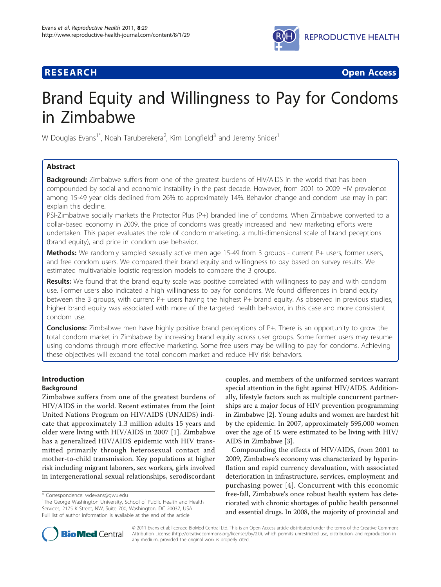

**RESEARCH CONSTRUCTION CONSTRUCTS** 

# Brand Equity and Willingness to Pay for Condoms in Zimbabwe

W Douglas Evans<sup>1\*</sup>, Noah Taruberekera<sup>2</sup>, Kim Longfield<sup>3</sup> and Jeremy Snider<sup>1</sup>

# Abstract

**Background:** Zimbabwe suffers from one of the greatest burdens of HIV/AIDS in the world that has been compounded by social and economic instability in the past decade. However, from 2001 to 2009 HIV prevalence among 15-49 year olds declined from 26% to approximately 14%. Behavior change and condom use may in part explain this decline.

PSI-Zimbabwe socially markets the Protector Plus (P+) branded line of condoms. When Zimbabwe converted to a dollar-based economy in 2009, the price of condoms was greatly increased and new marketing efforts were undertaken. This paper evaluates the role of condom marketing, a multi-dimensional scale of brand peceptions (brand equity), and price in condom use behavior.

Methods: We randomly sampled sexually active men age 15-49 from 3 groups - current P+ users, former users, and free condom users. We compared their brand equity and willingness to pay based on survey results. We estimated multivariable logistic regression models to compare the 3 groups.

Results: We found that the brand equity scale was positive correlated with willingness to pay and with condom use. Former users also indicated a high willingness to pay for condoms. We found differences in brand equity between the 3 groups, with current P+ users having the highest P+ brand equity. As observed in previous studies, higher brand equity was associated with more of the targeted health behavior, in this case and more consistent condom use.

**Conclusions:** Zimbabwe men have highly positive brand perceptions of  $P+$ . There is an opportunity to grow the total condom market in Zimbabwe by increasing brand equity across user groups. Some former users may resume using condoms through more effective marketing. Some free users may be willing to pay for condoms. Achieving these objectives will expand the total condom market and reduce HIV risk behaviors.

# Introduction

# Background

Zimbabwe suffers from one of the greatest burdens of HIV/AIDS in the world. Recent estimates from the Joint United Nations Program on HIV/AIDS (UNAIDS) indicate that approximately 1.3 million adults 15 years and older were living with HIV/AIDS in 2007 [\[1](#page-7-0)]. Zimbabwe has a generalized HIV/AIDS epidemic with HIV transmitted primarily through heterosexual contact and mother-to-child transmission. Key populations at higher risk including migrant laborers, sex workers, girls involved in intergenerational sexual relationships, serodiscordant

couples, and members of the uniformed services warrant special attention in the fight against HIV/AIDS. Additionally, lifestyle factors such as multiple concurrent partnerships are a major focus of HIV prevention programming in Zimbabwe [\[2\]](#page-7-0). Young adults and women are hardest hit by the epidemic. In 2007, approximately 595,000 women over the age of 15 were estimated to be living with HIV/ AIDS in Zimbabwe [\[3](#page-7-0)].

Compounding the effects of HIV/AIDS, from 2001 to 2009, Zimbabwe's economy was characterized by hyperinflation and rapid currency devaluation, with associated deterioration in infrastructure, services, employment and purchasing power [[4\]](#page-7-0). Concurrent with this economic free-fall, Zimbabwe's once robust health system has deteriorated with chronic shortages of public health personnel and essential drugs. In 2008, the majority of provincial and



© 2011 Evans et al; licensee BioMed Central Ltd. This is an Open Access article distributed under the terms of the Creative Commons Attribution License [\(http://creativecommons.org/licenses/by/2.0](http://creativecommons.org/licenses/by/2.0)), which permits unrestricted use, distribution, and reproduction in any medium, provided the original work is properly cited.

<sup>\*</sup> Correspondence: [wdevans@gwu.edu](mailto:wdevans@gwu.edu)

<sup>&</sup>lt;sup>1</sup>The George Washington University, School of Public Health and Health Services, 2175 K Street, NW, Suite 700, Washington, DC 20037, USA Full list of author information is available at the end of the article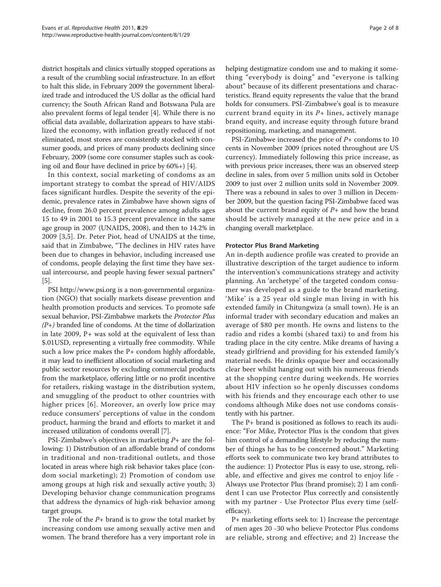district hospitals and clinics virtually stopped operations as a result of the crumbling social infrastructure. In an effort to halt this slide, in February 2009 the government liberalized trade and introduced the US dollar as the official hard currency; the South African Rand and Botswana Pula are also prevalent forms of legal tender [[4](#page-7-0)]. While there is no official data available, dollarization appears to have stabilized the economy, with inflation greatly reduced if not eliminated, most stores are consistently stocked with consumer goods, and prices of many products declining since February, 2009 (some core consumer staples such as cooking oil and flour have declined in price by 60%+) [[4\]](#page-7-0).

In this context, social marketing of condoms as an important strategy to combat the spread of HIV/AIDS faces significant hurdles. Despite the severity of the epidemic, prevalence rates in Zimbabwe have shown signs of decline, from 26.0 percent prevalence among adults ages 15 to 49 in 2001 to 15.3 percent prevalence in the same age group in 2007 (UNAIDS, 2008), and then to 14.2% in 2009 [\[3,5\]](#page-7-0). Dr. Peter Piot, head of UNAIDS at the time, said that in Zimbabwe, "The declines in HIV rates have been due to changes in behavior, including increased use of condoms, people delaying the first time they have sexual intercourse, and people having fewer sexual partners" [[5\]](#page-7-0).

PSI<http://www.psi.org> is a non-governmental organization (NGO) that socially markets disease prevention and health promotion products and services. To promote safe sexual behavior, PSI-Zimbabwe markets the Protector Plus  $(P+)$  branded line of condoms. At the time of dollarization in late 2009, P+ was sold at the equivalent of less than \$.01USD, representing a virtually free commodity. While such a low price makes the P+ condom highly affordable, it may lead to inefficient allocation of social marketing and public sector resources by excluding commercial products from the marketplace, offering little or no profit incentive for retailers, risking wastage in the distribution system, and smuggling of the product to other countries with higher prices [[6\]](#page-7-0). Moreover, an overly low price may reduce consumers' perceptions of value in the condom product, harming the brand and efforts to market it and increased utilization of condoms overall [[7\]](#page-7-0).

PSI-Zimbabwe's objectives in marketing  $P+$  are the following: 1) Distribution of an affordable brand of condoms in traditional and non-traditional outlets, and those located in areas where high risk behavior takes place (condom social marketing); 2) Promotion of condom use among groups at high risk and sexually active youth; 3) Developing behavior change communication programs that address the dynamics of high-risk behavior among target groups.

The role of the  $P+$  brand is to grow the total market by increasing condom use among sexually active men and women. The brand therefore has a very important role in helping destigmatize condom use and to making it something "everybody is doing" and "everyone is talking about" because of its different presentations and characteristics. Brand equity represents the value that the brand holds for consumers. PSI-Zimbabwe's goal is to measure current brand equity in its  $P+$  lines, actively manage brand equity, and increase equity through future brand repositioning, marketing, and management.

PSI-Zimbabwe increased the price of  $P+$  condoms to 10 cents in November 2009 (prices noted throughout are US currency). Immediately following this price increase, as with previous price increases, there was an observed steep decline in sales, from over 5 million units sold in October 2009 to just over 2 million units sold in November 2009. There was a rebound in sales to over 3 million in December 2009, but the question facing PSI-Zimbabwe faced was about the current brand equity of  $P+$  and how the brand should be actively managed at the new price and in a changing overall marketplace.

#### Protector Plus Brand Marketing

An in-depth audience profile was created to provide an illustrative description of the target audience to inform the intervention's communications strategy and activity planning. An 'archetype' of the targeted condom consumer was developed as a guide to the brand marketing. 'Mike' is a 25 year old single man living in with his extended family in Chitungwiza (a small town). He is an informal trader with secondary education and makes an average of \$80 per month. He owns and listens to the radio and rides a kombi (shared taxi) to and from his trading place in the city centre. Mike dreams of having a steady girlfriend and providing for his extended family's material needs. He drinks opaque beer and occasionally clear beer whilst hanging out with his numerous friends at the shopping centre during weekends. He worries about HIV infection so he openly discusses condoms with his friends and they encourage each other to use condoms although Mike does not use condoms consistently with his partner.

The P+ brand is positioned as follows to reach its audience: "For Mike, Protector Plus is the condom that gives him control of a demanding lifestyle by reducing the number of things he has to be concerned about." Marketing efforts seek to communicate two key brand attributes to the audience: 1) Protector Plus is easy to use, strong, reliable, and effective and gives me control to enjoy life - Always use Protector Plus (brand promise); 2) I am confident I can use Protector Plus correctly and consistently with my partner - Use Protector Plus every time (selfefficacy).

P+ marketing efforts seek to: 1) Increase the percentage of men ages 20 -30 who believe Protector Plus condoms are reliable, strong and effective; and 2) Increase the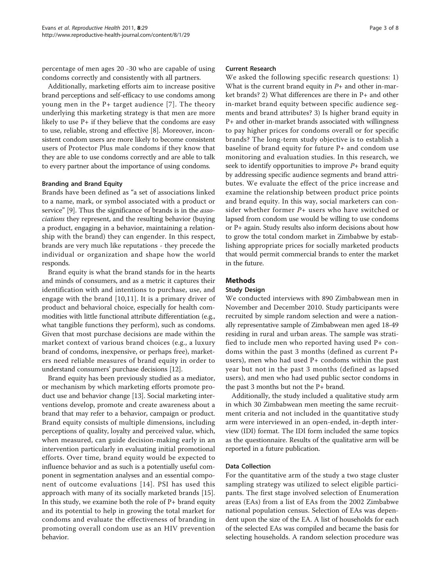percentage of men ages 20 -30 who are capable of using condoms correctly and consistently with all partners.

Additionally, marketing efforts aim to increase positive brand perceptions and self-efficacy to use condoms among young men in the P+ target audience [[7](#page-7-0)]. The theory underlying this marketing strategy is that men are more likely to use P+ if they believe that the condoms are easy to use, reliable, strong and effective [\[8](#page-7-0)]. Moreover, inconsistent condom users are more likely to become consistent users of Protector Plus male condoms if they know that they are able to use condoms correctly and are able to talk to every partner about the importance of using condoms.

#### Branding and Brand Equity

Brands have been defined as "a set of associations linked to a name, mark, or symbol associated with a product or service" [\[9](#page-7-0)]. Thus the significance of brands is in the *asso*ciations they represent, and the resulting behavior (buying a product, engaging in a behavior, maintaining a relationship with the brand) they can engender. In this respect, brands are very much like reputations - they precede the individual or organization and shape how the world responds.

Brand equity is what the brand stands for in the hearts and minds of consumers, and as a metric it captures their identification with and intentions to purchase, use, and engage with the brand [[10,11](#page-7-0)]. It is a primary driver of product and behavioral choice, especially for health commodities with little functional attribute differentiation (e.g., what tangible functions they perform), such as condoms. Given that most purchase decisions are made within the market context of various brand choices (e.g., a luxury brand of condoms, inexpensive, or perhaps free), marketers need reliable measures of brand equity in order to understand consumers' purchase decisions [\[12](#page-7-0)].

Brand equity has been previously studied as a mediator, or mechanism by which marketing efforts promote product use and behavior change [\[13\]](#page-7-0). Social marketing interventions develop, promote and create awareness about a brand that may refer to a behavior, campaign or product. Brand equity consists of multiple dimensions, including perceptions of quality, loyalty and perceived value, which, when measured, can guide decision-making early in an intervention particularly in evaluating initial promotional efforts. Over time, brand equity would be expected to influence behavior and as such is a potentially useful component in segmentation analyses and an essential component of outcome evaluations [[14](#page-7-0)]. PSI has used this approach with many of its socially marketed brands [\[15](#page-7-0)]. In this study, we examine both the role of  $P+$  brand equity and its potential to help in growing the total market for condoms and evaluate the effectiveness of branding in promoting overall condom use as an HIV prevention behavior.

#### Current Research

We asked the following specific research questions: 1) What is the current brand equity in  $P+$  and other in-market brands? 2) What differences are there in P+ and other in-market brand equity between specific audience segments and brand attributes? 3) Is higher brand equity in P+ and other in-market brands associated with willingness to pay higher prices for condoms overall or for specific brands? The long-term study objective is to establish a baseline of brand equity for future P+ and condom use monitoring and evaluation studies. In this research, we seek to identify opportunities to improve  $P+$  brand equity by addressing specific audience segments and brand attributes. We evaluate the effect of the price increase and examine the relationship between product price points and brand equity. In this way, social marketers can consider whether former  $P+$  users who have switched or lapsed from condom use would be willing to use condoms or P+ again. Study results also inform decisions about how to grow the total condom market in Zimbabwe by establishing appropriate prices for socially marketed products that would permit commercial brands to enter the market in the future.

#### Methods

#### Study Design

We conducted interviews with 890 Zimbabwean men in November and December 2010. Study participants were recruited by simple random selection and were a nationally representative sample of Zimbabwean men aged 18-49 residing in rural and urban areas. The sample was stratified to include men who reported having used P+ condoms within the past 3 months (defined as current P+ users), men who had used P+ condoms within the past year but not in the past 3 months (defined as lapsed users), and men who had used public sector condoms in the past 3 months but not the P+ brand.

Additionally, the study included a qualitative study arm in which 30 Zimbabwean men meeting the same recruitment criteria and not included in the quantitative study arm were interviewed in an open-ended, in-depth interview (IDI) format. The IDI form included the same topics as the questionnaire. Results of the qualitative arm will be reported in a future publication.

#### Data Collection

For the quantitative arm of the study a two stage cluster sampling strategy was utilized to select eligible participants. The first stage involved selection of Enumeration areas (EAs) from a list of EAs from the 2002 Zimbabwe national population census. Selection of EAs was dependent upon the size of the EA. A list of households for each of the selected EAs was compiled and became the basis for selecting households. A random selection procedure was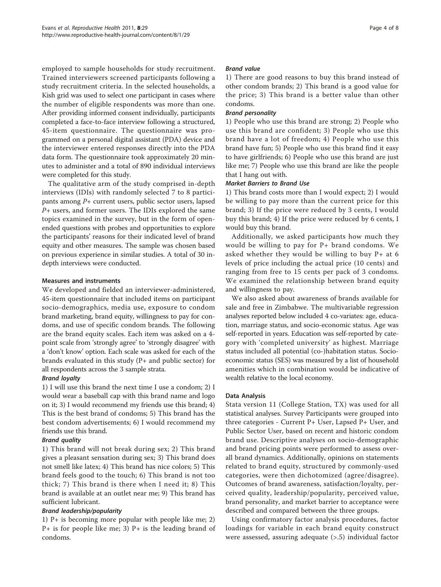employed to sample households for study recruitment. Trained interviewers screened participants following a study recruitment criteria. In the selected households, a Kish grid was used to select one participant in cases where the number of eligible respondents was more than one. After providing informed consent individually, participants completed a face-to-face interview following a structured, 45-item questionnaire. The questionnaire was programmed on a personal digital assistant (PDA) device and the interviewer entered responses directly into the PDA data form. The questionnaire took approximately 20 minutes to administer and a total of 890 individual interviews were completed for this study.

The qualitative arm of the study comprised in-depth interviews (IDIs) with randomly selected 7 to 8 participants among P+ current users, public sector users, lapsed P+ users, and former users. The IDIs explored the same topics examined in the survey, but in the form of openended questions with probes and opportunities to explore the participants' reasons for their indicated level of brand equity and other measures. The sample was chosen based on previous experience in similar studies. A total of 30 indepth interviews were conducted.

# Measures and instruments

We developed and fielded an interviewer-administered, 45-item questionnaire that included items on participant socio-demographics, media use, exposure to condom brand marketing, brand equity, willingness to pay for condoms, and use of specific condom brands. The following are the brand equity scales. Each item was asked on a 4 point scale from 'strongly agree' to 'strongly disagree' with a 'don't know' option. Each scale was asked for each of the brands evaluated in this study (P+ and public sector) for all respondents across the 3 sample strata.

# Brand loyalty

1) I will use this brand the next time I use a condom; 2) I would wear a baseball cap with this brand name and logo on it; 3) I would recommend my friends use this brand; 4) This is the best brand of condoms; 5) This brand has the best condom advertisements; 6) I would recommend my friends use this brand.

# Brand quality

1) This brand will not break during sex; 2) This brand gives a pleasant sensation during sex; 3) This brand does not smell like latex; 4) This brand has nice colors; 5) This brand feels good to the touch; 6) This brand is not too thick; 7) This brand is there when I need it; 8) This brand is available at an outlet near me; 9) This brand has sufficient lubricant.

# Brand leadership/popularity

1) P+ is becoming more popular with people like me; 2) P+ is for people like me; 3) P+ is the leading brand of condoms.

# Brand value

1) There are good reasons to buy this brand instead of other condom brands; 2) This brand is a good value for the price; 3) This brand is a better value than other condoms.

# Brand personality

1) People who use this brand are strong; 2) People who use this brand are confident; 3) People who use this brand have a lot of freedom; 4) People who use this brand have fun; 5) People who use this brand find it easy to have girlfriends; 6) People who use this brand are just like me; 7) People who use this brand are like the people that I hang out with.

# Market Barriers to Brand Use

1) This brand costs more than I would expect; 2) I would be willing to pay more than the current price for this brand; 3) If the price were reduced by 3 cents, I would buy this brand; 4) If the price were reduced by 6 cents, I would buy this brand.

Additionally, we asked participants how much they would be willing to pay for P+ brand condoms. We asked whether they would be willing to buy  $P+$  at 6 levels of price including the actual price (10 cents) and ranging from free to 15 cents per pack of 3 condoms. We examined the relationship between brand equity and willingness to pay.

We also asked about awareness of brands available for sale and free in Zimbabwe. The multivariable regression analyses reported below included 4 co-variates: age, education, marriage status, and socio-economic status. Age was self-reported in years. Education was self-reported by category with 'completed university' as highest. Marriage status included all potential (co-)habitation status. Socioeconomic status (SES) was measured by a list of household amenities which in combination would be indicative of wealth relative to the local economy.

# Data Analysis

Stata version 11 (College Station, TX) was used for all statistical analyses. Survey Participants were grouped into three categories - Current P+ User, Lapsed P+ User, and Public Sector User, based on recent and historic condom brand use. Descriptive analyses on socio-demographic and brand pricing points were performed to assess overall brand dynamics. Additionally, opinions on statements related to brand equity, structured by commonly-used categories, were then dichotomized (agree/disagree). Outcomes of brand awareness, satisfaction/loyalty, perceived quality, leadership/popularity, perceived value, brand personality, and market barrier to acceptance were described and compared between the three groups.

Using confirmatory factor analysis procedures, factor loadings for variable in each brand equity construct were assessed, assuring adequate (>.5) individual factor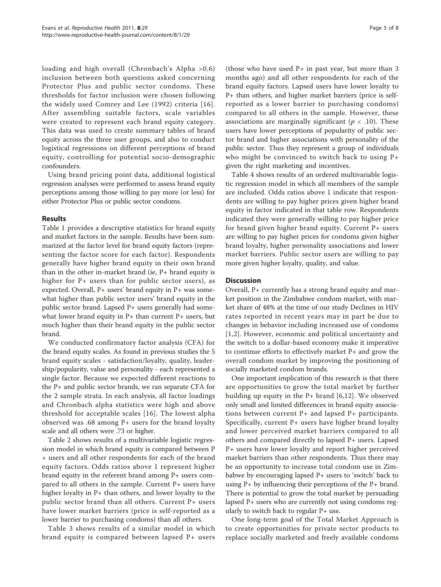loading and high overall (Chronbach's Alpha >0.6) inclusion between both questions asked concerning Protector Plus and public sector condoms. These thresholds for factor inclusion were chosen following the widely used Comrey and Lee (1992) criteria [[16\]](#page-7-0). After assembling suitable factors, scale variables were created to represent each brand equity category. This data was used to create summary tables of brand equity across the three user groups, and also to conduct logistical regressions on different perceptions of brand equity, controlling for potential socio-demographic confounders.

Using brand pricing point data, additional logistical regression analyses were performed to assess brand equity perceptions among those willing to pay more (or less) for either Protector Plus or public sector condoms.

## Results

Table [1](#page-5-0) provides a descriptive statistics for brand equity and market factors in the sample. Results have been summarized at the factor level for brand equity factors (representing the factor score for each factor). Respondents generally have higher brand equity in their own brand than in the other in-market brand (ie, P+ brand equity is higher for  $P+$  users than for public sector users), as expected. Overall, P+ users' brand equity in P+ was somewhat higher than public sector users' brand equity in the public sector brand. Lapsed P+ users generally had somewhat lower brand equity in P+ than current P+ users, but much higher than their brand equity in the public sector brand.

We conducted confirmatory factor analysis (CFA) for the brand equity scales. As found in previous studies the 5 brand equity scales - satisfaction/loyalty, quality, leadership/popularity, value and personality - each represented a single factor. Because we expected different reactions to the P+ and public sector brands, we ran separate CFA for the 2 sample strata. In each analysis, all factor loadings and Chronbach alpha statistics were high and above threshold for acceptable scales [[16](#page-7-0)]. The lowest alpha observed was .68 among P+ users for the brand loyalty scale and all others were .73 or higher.

Table [2](#page-6-0) shows results of a multivariable logistic regression model in which brand equity is compared between P + users and all other respondents for each of the brand equity factors. Odds ratios above 1 represent higher brand equity in the referent brand among P+ users compared to all others in the sample. Current P+ users have higher loyalty in P+ than others, and lower loyalty to the public sector brand than all others. Current P+ users have lower market barriers (price is self-reported as a lower barrier to purchasing condoms) than all others.

Table [3](#page-6-0) shows results of a similar model in which brand equity is compared between lapsed P+ users (those who have used P+ in past year, but more than 3 months ago) and all other respondents for each of the brand equity factors. Lapsed users have lower loyalty to P+ than others, and higher market barriers (price is selfreported as a lower barrier to purchasing condoms) compared to all others in the sample. However, these associations are marginally significant ( $p < .10$ ). These users have lower perceptions of popularity of public sector brand and higher associations with personality of the public sector. Thus they represent a group of individuals who might be convinced to switch back to using P+ given the right marketing and incentives.

Table [4](#page-6-0) shows results of an ordered multivariable logistic regression model in which all members of the sample are included. Odds ratios above 1 indicate that respondents are willing to pay higher prices given higher brand equity in factor indicated in that table row. Respondents indicated they were generally willing to pay higher price for brand given higher brand equity. Current P+ users are willing to pay higher prices for condoms given higher brand loyalty, higher personality associations and lower market barriers. Public sector users are willing to pay more given higher loyalty, quality, and value.

#### **Discussion**

Overall, P+ currently has a strong brand equity and market position in the Zimbabwe condom market, with market share of 48% at the time of our study Declines in HIV rates reported in recent years may in part be due to changes in behavior including increased use of condoms [[1,2\]](#page-7-0). However, economic and political uncertainty and the switch to a dollar-based economy make it imperative to continue efforts to effectively market P+ and grow the overall condom market by improving the positioning of socially marketed condom brands.

One important implication of this research is that there are opportunities to grow the total market by further building up equity in the P+ brand [[6,12](#page-7-0)]. We observed only small and limited differences in brand equity associations between current P+ and lapsed P+ participants. Specifically, current P+ users have higher brand loyalty and lower perceived market barriers compared to all others and compared directly to lapsed P+ users. Lapsed P+ users have lower loyalty and report higher perceived market barriers than other respondents. Thus there may be an opportunity to increase total condom use in Zimbabwe by encouraging lapsed P+ users to 'switch' back to using P+ by influencing their perceptions of the P+ brand. There is potential to grow the total market by persuading lapsed P+ users who are currently not using condoms regularly to switch back to regular P+ use.

One long-term goal of the Total Market Approach is to create opportunities for private sector products to replace socially marketed and freely available condoms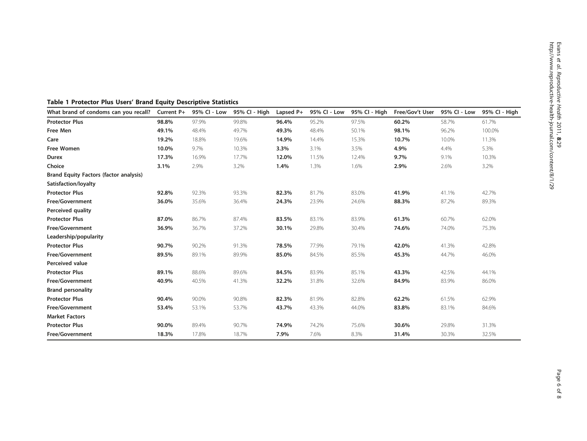<span id="page-5-0"></span>

|  |  |  |  |  | Table 1 Protector Plus Users' Brand Equity Descriptive Statistics |  |
|--|--|--|--|--|-------------------------------------------------------------------|--|
|--|--|--|--|--|-------------------------------------------------------------------|--|

| What brand of condoms can you recall?         | Current P+ | 95% CI - Low | 95% CI - High | Lapsed $P+$ | 95% CI - Low | 95% CI - High | Free/Gov't User | 95% CI - Low | 95% CI - High |
|-----------------------------------------------|------------|--------------|---------------|-------------|--------------|---------------|-----------------|--------------|---------------|
| <b>Protector Plus</b>                         | 98.8%      | 97.9%        | 99.8%         | 96.4%       | 95.2%        | 97.5%         | 60.2%           | 58.7%        | 61.7%         |
| <b>Free Men</b>                               | 49.1%      | 48.4%        | 49.7%         | 49.3%       | 48.4%        | 50.1%         | 98.1%           | 96.2%        | 100.0%        |
| Care                                          | 19.2%      | 18.8%        | 19.6%         | 14.9%       | 14.4%        | 15.3%         | 10.7%           | 10.0%        | 11.3%         |
| <b>Free Women</b>                             | 10.0%      | 9.7%         | 10.3%         | 3.3%        | 3.1%         | 3.5%          | 4.9%            | 4.4%         | 5.3%          |
| <b>Durex</b>                                  | 17.3%      | 16.9%        | 17.7%         | 12.0%       | 11.5%        | 12.4%         | 9.7%            | 9.1%         | 10.3%         |
| Choice                                        | 3.1%       | 2.9%         | 3.2%          | 1.4%        | 1.3%         | 1.6%          | 2.9%            | 2.6%         | 3.2%          |
| <b>Brand Equity Factors (factor analysis)</b> |            |              |               |             |              |               |                 |              |               |
| Satisfaction/loyalty                          |            |              |               |             |              |               |                 |              |               |
| <b>Protector Plus</b>                         | 92.8%      | 92.3%        | 93.3%         | 82.3%       | 81.7%        | 83.0%         | 41.9%           | 41.1%        | 42.7%         |
| Free/Government                               | 36.0%      | 35.6%        | 36.4%         | 24.3%       | 23.9%        | 24.6%         | 88.3%           | 87.2%        | 89.3%         |
| <b>Perceived quality</b>                      |            |              |               |             |              |               |                 |              |               |
| <b>Protector Plus</b>                         | 87.0%      | 86.7%        | 87.4%         | 83.5%       | 83.1%        | 83.9%         | 61.3%           | 60.7%        | 62.0%         |
| <b>Free/Government</b>                        | 36.9%      | 36.7%        | 37.2%         | 30.1%       | 29.8%        | 30.4%         | 74.6%           | 74.0%        | 75.3%         |
| Leadership/popularity                         |            |              |               |             |              |               |                 |              |               |
| <b>Protector Plus</b>                         | 90.7%      | 90.2%        | 91.3%         | 78.5%       | 77.9%        | 79.1%         | 42.0%           | 41.3%        | 42.8%         |
| <b>Free/Government</b>                        | 89.5%      | 89.1%        | 89.9%         | 85.0%       | 84.5%        | 85.5%         | 45.3%           | 44.7%        | 46.0%         |
| <b>Perceived value</b>                        |            |              |               |             |              |               |                 |              |               |
| <b>Protector Plus</b>                         | 89.1%      | 88.6%        | 89.6%         | 84.5%       | 83.9%        | 85.1%         | 43.3%           | 42.5%        | 44.1%         |
| <b>Free/Government</b>                        | 40.9%      | 40.5%        | 41.3%         | 32.2%       | 31.8%        | 32.6%         | 84.9%           | 83.9%        | 86.0%         |
| <b>Brand personality</b>                      |            |              |               |             |              |               |                 |              |               |
| <b>Protector Plus</b>                         | 90.4%      | 90.0%        | 90.8%         | 82.3%       | 81.9%        | 82.8%         | 62.2%           | 61.5%        | 62.9%         |
| <b>Free/Government</b>                        | 53.4%      | 53.1%        | 53.7%         | 43.7%       | 43.3%        | 44.0%         | 83.8%           | 83.1%        | 84.6%         |
| <b>Market Factors</b>                         |            |              |               |             |              |               |                 |              |               |
| <b>Protector Plus</b>                         | 90.0%      | 89.4%        | 90.7%         | 74.9%       | 74.2%        | 75.6%         | 30.6%           | 29.8%        | 31.3%         |
| <b>Free/Government</b>                        | 18.3%      | 17.8%        | 18.7%         | 7.9%        | 7.6%         | 8.3%          | 31.4%           | 30.3%        | 32.5%         |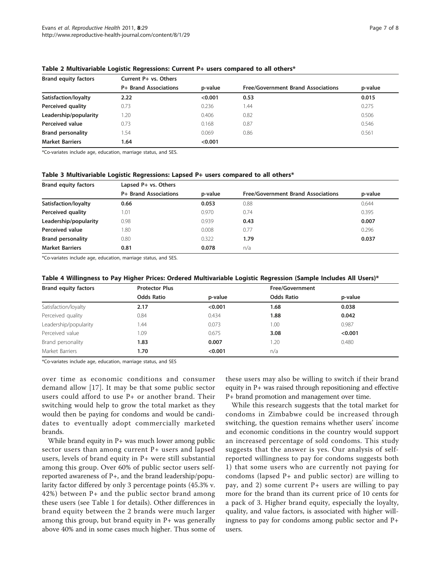| <b>Brand equity factors</b> | Current P+ vs. Others |         |                                           |         |  |  |
|-----------------------------|-----------------------|---------|-------------------------------------------|---------|--|--|
|                             | P+ Brand Associations | p-value | <b>Free/Government Brand Associations</b> | p-value |  |  |
| Satisfaction/loyalty        | 2.22                  | < 0.001 | 0.53                                      | 0.015   |  |  |
| Perceived quality           | 0.73                  | 0.236   | .44                                       | 0.275   |  |  |
| Leadership/popularity       | .20                   | 0.406   | 0.82                                      | 0.506   |  |  |
| Perceived value             | 0.73                  | 0.168   | 0.87                                      | 0.546   |  |  |
| <b>Brand personality</b>    | .54                   | 0.069   | 0.86                                      | 0.561   |  |  |
| <b>Market Barriers</b>      | 1.64                  | < 0.001 |                                           |         |  |  |

<span id="page-6-0"></span>Table 2 Multivariable Logistic Regressions: Current P+ users compared to all others\*

\*Co-variates include age, education, marriage status, and SES.

#### Table 3 Multivariable Logistic Regressions: Lapsed P+ users compared to all others\*

| <b>Brand equity factors</b> | Lapsed P+ vs. Others         |         |                                           |         |  |  |
|-----------------------------|------------------------------|---------|-------------------------------------------|---------|--|--|
|                             | <b>P+ Brand Associations</b> | p-value | <b>Free/Government Brand Associations</b> | p-value |  |  |
| Satisfaction/loyalty        | 0.66                         | 0.053   | 0.88                                      | 0.644   |  |  |
| Perceived quality           | 1.01                         | 0.970   | 0.74                                      | 0.395   |  |  |
| Leadership/popularity       | 0.98                         | 0.939   | 0.43                                      | 0.007   |  |  |
| Perceived value             | 1.80                         | 0.008   | 0.77                                      | 0.296   |  |  |
| <b>Brand personality</b>    | 0.80                         | 0.322   | 1.79                                      | 0.037   |  |  |
| <b>Market Barriers</b>      | 0.81                         | 0.078   | n/a                                       |         |  |  |

\*Co-variates include age, education, marriage status, and SES.

|  | Table 4 Willingness to Pay Higher Prices: Ordered Multivariable Logistic Regression (Sample Includes All Users)* |  |
|--|------------------------------------------------------------------------------------------------------------------|--|
|--|------------------------------------------------------------------------------------------------------------------|--|

| <b>Brand equity factors</b> | <b>Protector Plus</b> |         | <b>Free/Government</b> |         |
|-----------------------------|-----------------------|---------|------------------------|---------|
|                             | <b>Odds Ratio</b>     | p-value | <b>Odds Ratio</b>      | p-value |
| Satisfaction/loyalty        | 2.17                  | < 0.001 | 1.68                   | 0.038   |
| Perceived quality           | 0.84                  | 0.434   | 1.88                   | 0.042   |
| Leadership/popularity       | 1.44                  | 0.073   | 1.00                   | 0.987   |
| Perceived value             | 1.09                  | 0.675   | 3.08                   | < 0.001 |
| Brand personality           | 1.83                  | 0.007   | 1.20                   | 0.480   |
| Market Barriers             | 1.70                  | < 0.001 | n/a                    |         |

\*Co-variates include age, education, marriage status, and SES

over time as economic conditions and consumer demand allow [[17](#page-7-0)]. It may be that some public sector users could afford to use P+ or another brand. Their switching would help to grow the total market as they would then be paying for condoms and would be candidates to eventually adopt commercially marketed brands.

While brand equity in P+ was much lower among public sector users than among current P+ users and lapsed users, levels of brand equity in P+ were still substantial among this group. Over 60% of public sector users selfreported awareness of P+, and the brand leadership/popularity factor differed by only 3 percentage points (45.3% v. 42%) between P+ and the public sector brand among these users (see Table [1](#page-5-0) for details). Other differences in brand equity between the 2 brands were much larger among this group, but brand equity in P+ was generally above 40% and in some cases much higher. Thus some of these users may also be willing to switch if their brand equity in P+ was raised through repositioning and effective P+ brand promotion and management over time.

While this research suggests that the total market for condoms in Zimbabwe could be increased through switching, the question remains whether users' income and economic conditions in the country would support an increased percentage of sold condoms. This study suggests that the answer is yes. Our analysis of selfreported willingness to pay for condoms suggests both 1) that some users who are currently not paying for condoms (lapsed P+ and public sector) are willing to pay, and 2) some current P+ users are willing to pay more for the brand than its current price of 10 cents for a pack of 3. Higher brand equity, especially the loyalty, quality, and value factors, is associated with higher willingness to pay for condoms among public sector and P+ users.